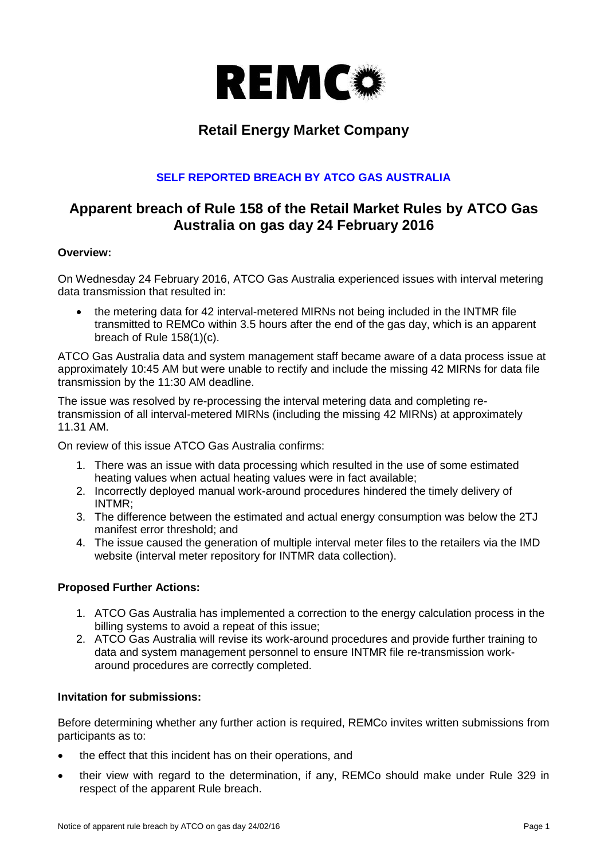

# **Retail Energy Market Company**

## **SELF REPORTED BREACH BY ATCO GAS AUSTRALIA**

# **Apparent breach of Rule 158 of the Retail Market Rules by ATCO Gas Australia on gas day 24 February 2016**

#### **Overview:**

On Wednesday 24 February 2016, ATCO Gas Australia experienced issues with interval metering data transmission that resulted in:

 the metering data for 42 interval-metered MIRNs not being included in the INTMR file transmitted to REMCo within 3.5 hours after the end of the gas day, which is an apparent breach of Rule 158(1)(c).

ATCO Gas Australia data and system management staff became aware of a data process issue at approximately 10:45 AM but were unable to rectify and include the missing 42 MIRNs for data file transmission by the 11:30 AM deadline.

The issue was resolved by re-processing the interval metering data and completing retransmission of all interval-metered MIRNs (including the missing 42 MIRNs) at approximately 11.31 AM.

On review of this issue ATCO Gas Australia confirms:

- 1. There was an issue with data processing which resulted in the use of some estimated heating values when actual heating values were in fact available;
- 2. Incorrectly deployed manual work-around procedures hindered the timely delivery of INTMR;
- 3. The difference between the estimated and actual energy consumption was below the 2TJ manifest error threshold; and
- 4. The issue caused the generation of multiple interval meter files to the retailers via the IMD website (interval meter repository for INTMR data collection).

### **Proposed Further Actions:**

- 1. ATCO Gas Australia has implemented a correction to the energy calculation process in the billing systems to avoid a repeat of this issue;
- 2. ATCO Gas Australia will revise its work-around procedures and provide further training to data and system management personnel to ensure INTMR file re-transmission workaround procedures are correctly completed.

### **Invitation for submissions:**

Before determining whether any further action is required, REMCo invites written submissions from participants as to:

- the effect that this incident has on their operations, and
- their view with regard to the determination, if any, REMCo should make under Rule 329 in respect of the apparent Rule breach.